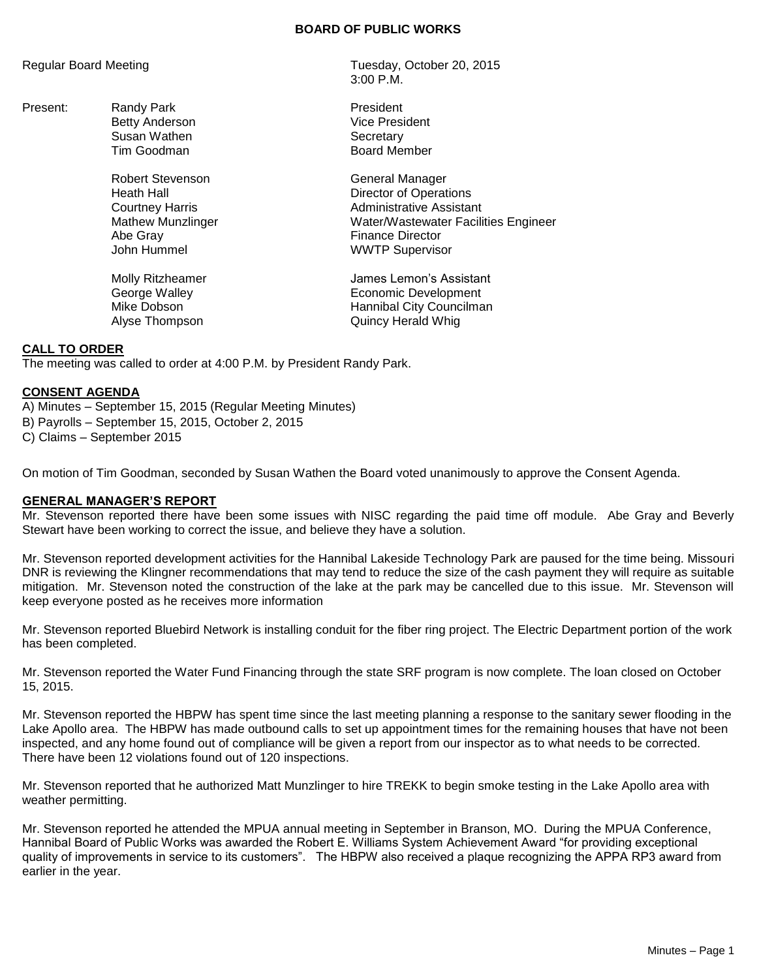#### **BOARD OF PUBLIC WORKS**

Present: Randy Park **President** Susan Wathen Susan Wathen Susan Wathen Secretary

> Robert Stevenson General Manager Abe Gray **Finance Director**

Regular Board Meeting Tuesday, October 20, 2015 3:00 P.M.

> Betty Anderson Vice President Tim Goodman **Board Member**

Heath Hall **Hall** Director of Operations Courtney Harris **Administrative Assistant** Mathew Munzlinger Water/Wastewater Facilities Engineer John Hummel **WWTP** Supervisor

Molly Ritzheamer **Molly Ritzheamer** James Lemon's Assistant<br>George Walley **James Lemonic Development** Economic Development Mike Dobson **Mike Dobson Hannibal City Councilman** Alyse Thompson **Quincy Herald Whig** 

### **CALL TO ORDER**

The meeting was called to order at 4:00 P.M. by President Randy Park.

### **CONSENT AGENDA**

A) Minutes – September 15, 2015 (Regular Meeting Minutes) B) Payrolls – September 15, 2015, October 2, 2015

C) Claims – September 2015

On motion of Tim Goodman, seconded by Susan Wathen the Board voted unanimously to approve the Consent Agenda.

#### **GENERAL MANAGER'S REPORT**

Mr. Stevenson reported there have been some issues with NISC regarding the paid time off module. Abe Gray and Beverly Stewart have been working to correct the issue, and believe they have a solution.

Mr. Stevenson reported development activities for the Hannibal Lakeside Technology Park are paused for the time being. Missouri DNR is reviewing the Klingner recommendations that may tend to reduce the size of the cash payment they will require as suitable mitigation. Mr. Stevenson noted the construction of the lake at the park may be cancelled due to this issue. Mr. Stevenson will keep everyone posted as he receives more information

Mr. Stevenson reported Bluebird Network is installing conduit for the fiber ring project. The Electric Department portion of the work has been completed.

Mr. Stevenson reported the Water Fund Financing through the state SRF program is now complete. The loan closed on October 15, 2015.

Mr. Stevenson reported the HBPW has spent time since the last meeting planning a response to the sanitary sewer flooding in the Lake Apollo area. The HBPW has made outbound calls to set up appointment times for the remaining houses that have not been inspected, and any home found out of compliance will be given a report from our inspector as to what needs to be corrected. There have been 12 violations found out of 120 inspections.

Mr. Stevenson reported that he authorized Matt Munzlinger to hire TREKK to begin smoke testing in the Lake Apollo area with weather permitting.

Mr. Stevenson reported he attended the MPUA annual meeting in September in Branson, MO. During the MPUA Conference, Hannibal Board of Public Works was awarded the Robert E. Williams System Achievement Award "for providing exceptional quality of improvements in service to its customers". The HBPW also received a plaque recognizing the APPA RP3 award from earlier in the year.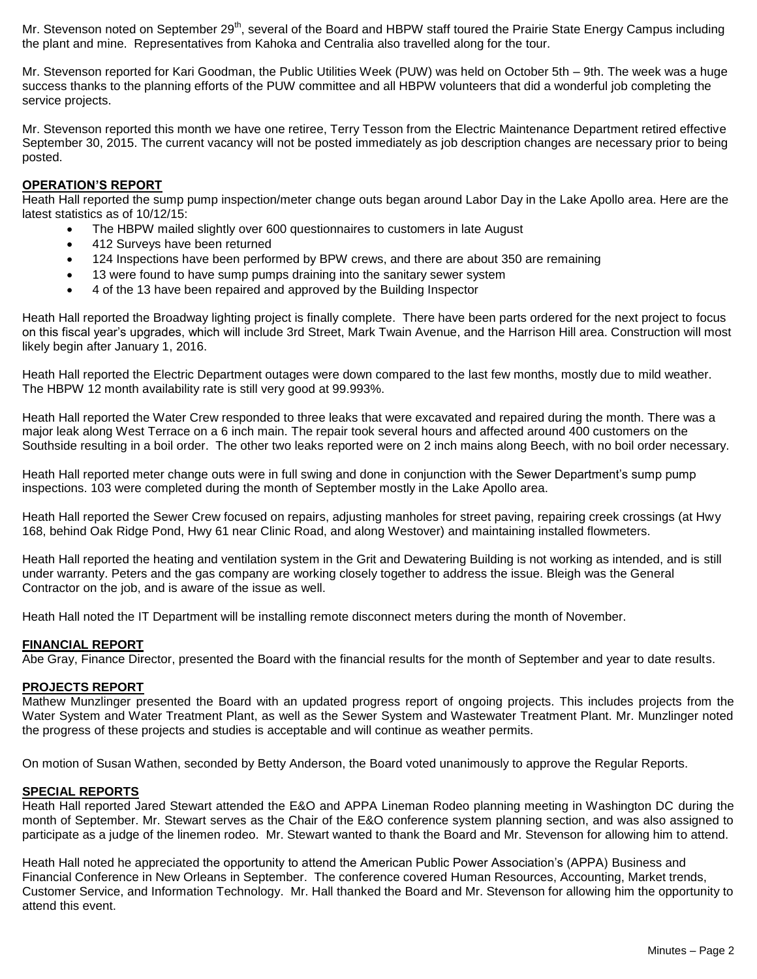Mr. Stevenson noted on September 29<sup>th</sup>, several of the Board and HBPW staff toured the Prairie State Energy Campus including the plant and mine. Representatives from Kahoka and Centralia also travelled along for the tour.

Mr. Stevenson reported for Kari Goodman, the Public Utilities Week (PUW) was held on October 5th – 9th. The week was a huge success thanks to the planning efforts of the PUW committee and all HBPW volunteers that did a wonderful job completing the service projects.

Mr. Stevenson reported this month we have one retiree, Terry Tesson from the Electric Maintenance Department retired effective September 30, 2015. The current vacancy will not be posted immediately as job description changes are necessary prior to being posted.

# **OPERATION'S REPORT**

Heath Hall reported the sump pump inspection/meter change outs began around Labor Day in the Lake Apollo area. Here are the latest statistics as of 10/12/15:

- The HBPW mailed slightly over 600 questionnaires to customers in late August
- 412 Surveys have been returned
- 124 Inspections have been performed by BPW crews, and there are about 350 are remaining
- 13 were found to have sump pumps draining into the sanitary sewer system
- 4 of the 13 have been repaired and approved by the Building Inspector

Heath Hall reported the Broadway lighting project is finally complete. There have been parts ordered for the next project to focus on this fiscal year's upgrades, which will include 3rd Street, Mark Twain Avenue, and the Harrison Hill area. Construction will most likely begin after January 1, 2016.

Heath Hall reported the Electric Department outages were down compared to the last few months, mostly due to mild weather. The HBPW 12 month availability rate is still very good at 99.993%.

Heath Hall reported the Water Crew responded to three leaks that were excavated and repaired during the month. There was a major leak along West Terrace on a 6 inch main. The repair took several hours and affected around 400 customers on the Southside resulting in a boil order. The other two leaks reported were on 2 inch mains along Beech, with no boil order necessary.

Heath Hall reported meter change outs were in full swing and done in conjunction with the Sewer Department's sump pump inspections. 103 were completed during the month of September mostly in the Lake Apollo area.

Heath Hall reported the Sewer Crew focused on repairs, adjusting manholes for street paving, repairing creek crossings (at Hwy 168, behind Oak Ridge Pond, Hwy 61 near Clinic Road, and along Westover) and maintaining installed flowmeters.

Heath Hall reported the heating and ventilation system in the Grit and Dewatering Building is not working as intended, and is still under warranty. Peters and the gas company are working closely together to address the issue. Bleigh was the General Contractor on the job, and is aware of the issue as well.

Heath Hall noted the IT Department will be installing remote disconnect meters during the month of November.

#### **FINANCIAL REPORT**

Abe Gray, Finance Director, presented the Board with the financial results for the month of September and year to date results.

#### **PROJECTS REPORT**

Mathew Munzlinger presented the Board with an updated progress report of ongoing projects. This includes projects from the Water System and Water Treatment Plant, as well as the Sewer System and Wastewater Treatment Plant. Mr. Munzlinger noted the progress of these projects and studies is acceptable and will continue as weather permits.

On motion of Susan Wathen, seconded by Betty Anderson, the Board voted unanimously to approve the Regular Reports.

#### **SPECIAL REPORTS**

Heath Hall reported Jared Stewart attended the E&O and APPA Lineman Rodeo planning meeting in Washington DC during the month of September. Mr. Stewart serves as the Chair of the E&O conference system planning section, and was also assigned to participate as a judge of the linemen rodeo. Mr. Stewart wanted to thank the Board and Mr. Stevenson for allowing him to attend.

Heath Hall noted he appreciated the opportunity to attend the American Public Power Association's (APPA) Business and Financial Conference in New Orleans in September. The conference covered Human Resources, Accounting, Market trends, Customer Service, and Information Technology. Mr. Hall thanked the Board and Mr. Stevenson for allowing him the opportunity to attend this event.